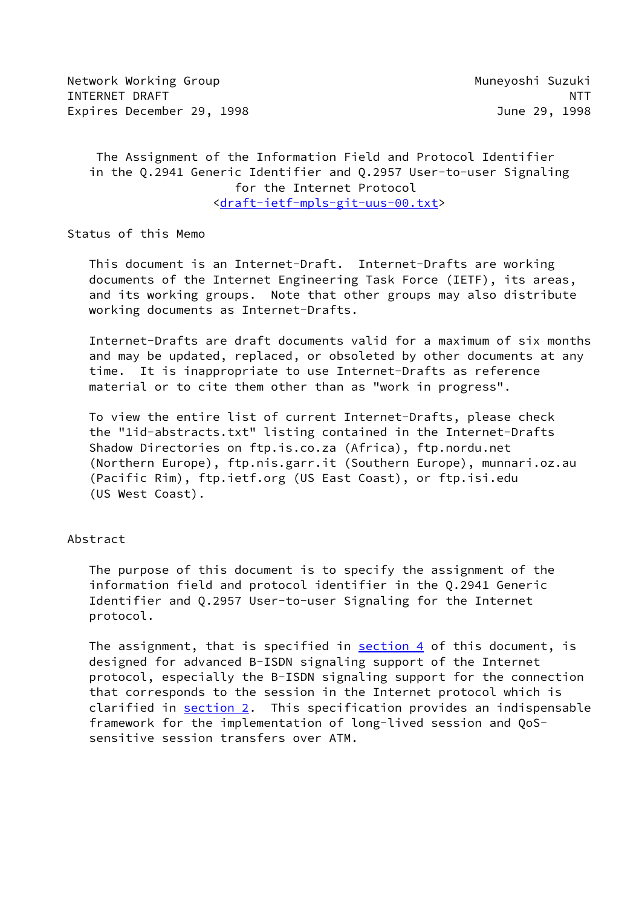Network Working Group Muneyoshi Suzuki INTERNET DRAFT NEWSFILM AND THE RESERVE OF THE RESERVE OF THE RESERVE OF THE RESERVE OF THE RESERVE OF THE RES Expires December 29, 1998 June 29, 1998

 The Assignment of the Information Field and Protocol Identifier in the Q.2941 Generic Identifier and Q.2957 User-to-user Signaling for the Internet Protocol [<draft-ietf-mpls-git-uus-00.txt](https://datatracker.ietf.org/doc/pdf/draft-ietf-mpls-git-uus-00.txt)>

Status of this Memo

 This document is an Internet-Draft. Internet-Drafts are working documents of the Internet Engineering Task Force (IETF), its areas, and its working groups. Note that other groups may also distribute working documents as Internet-Drafts.

 Internet-Drafts are draft documents valid for a maximum of six months and may be updated, replaced, or obsoleted by other documents at any time. It is inappropriate to use Internet-Drafts as reference material or to cite them other than as "work in progress".

 To view the entire list of current Internet-Drafts, please check the "1id-abstracts.txt" listing contained in the Internet-Drafts Shadow Directories on ftp.is.co.za (Africa), ftp.nordu.net (Northern Europe), ftp.nis.garr.it (Southern Europe), munnari.oz.au (Pacific Rim), ftp.ietf.org (US East Coast), or ftp.isi.edu (US West Coast).

### Abstract

 The purpose of this document is to specify the assignment of the information field and protocol identifier in the Q.2941 Generic Identifier and Q.2957 User-to-user Signaling for the Internet protocol.

The assignment, that is specified in [section 4](#page-11-0) of this document, is designed for advanced B-ISDN signaling support of the Internet protocol, especially the B-ISDN signaling support for the connection that corresponds to the session in the Internet protocol which is clarified in [section 2](#page-2-0). This specification provides an indispensable framework for the implementation of long-lived session and QoS sensitive session transfers over ATM.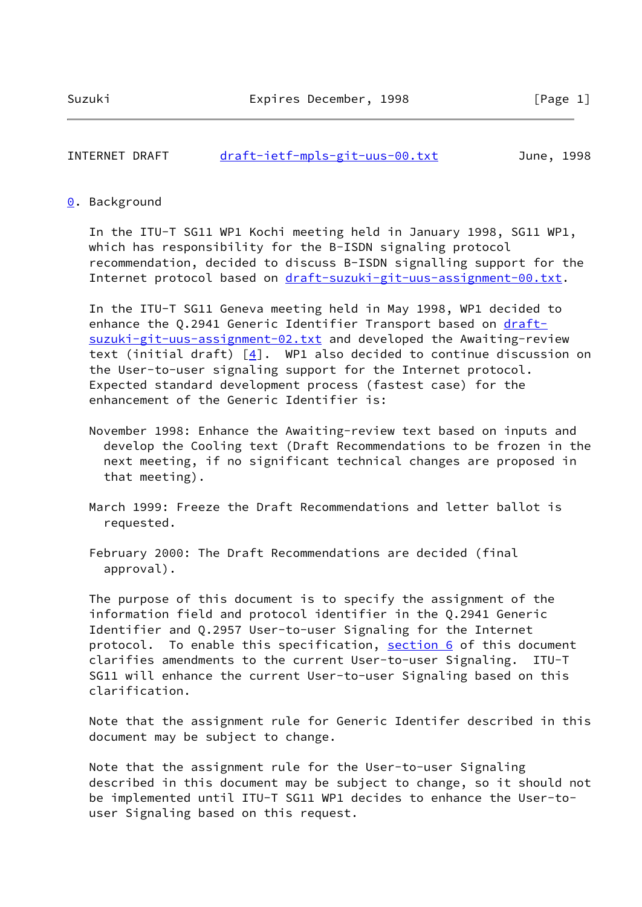INTERNET DRAFT [draft-ietf-mpls-git-uus-00.txt](https://datatracker.ietf.org/doc/pdf/draft-ietf-mpls-git-uus-00.txt) June, 1998

#### <span id="page-1-0"></span>[0](#page-1-0). Background

 In the ITU-T SG11 WP1 Kochi meeting held in January 1998, SG11 WP1, which has responsibility for the B-ISDN signaling protocol recommendation, decided to discuss B-ISDN signalling support for the Internet protocol based on [draft-suzuki-git-uus-assignment-00.txt](https://datatracker.ietf.org/doc/pdf/draft-suzuki-git-uus-assignment-00.txt).

 In the ITU-T SG11 Geneva meeting held in May 1998, WP1 decided to enhance the Q.2941 Generic Identifier Transport based on [draft](https://datatracker.ietf.org/doc/pdf/draft-suzuki-git-uus-assignment-02.txt) [suzuki-git-uus-assignment-02.txt](https://datatracker.ietf.org/doc/pdf/draft-suzuki-git-uus-assignment-02.txt) and developed the Awaiting-review text (initial draft) [\[4\]](#page-25-0). WP1 also decided to continue discussion on the User-to-user signaling support for the Internet protocol. Expected standard development process (fastest case) for the enhancement of the Generic Identifier is:

- November 1998: Enhance the Awaiting-review text based on inputs and develop the Cooling text (Draft Recommendations to be frozen in the next meeting, if no significant technical changes are proposed in that meeting).
- March 1999: Freeze the Draft Recommendations and letter ballot is requested.
- February 2000: The Draft Recommendations are decided (final approval).

 The purpose of this document is to specify the assignment of the information field and protocol identifier in the Q.2941 Generic Identifier and Q.2957 User-to-user Signaling for the Internet protocol. To enable this specification, [section 6](#page-24-0) of this document clarifies amendments to the current User-to-user Signaling. ITU-T SG11 will enhance the current User-to-user Signaling based on this clarification.

 Note that the assignment rule for Generic Identifer described in this document may be subject to change.

 Note that the assignment rule for the User-to-user Signaling described in this document may be subject to change, so it should not be implemented until ITU-T SG11 WP1 decides to enhance the User-to user Signaling based on this request.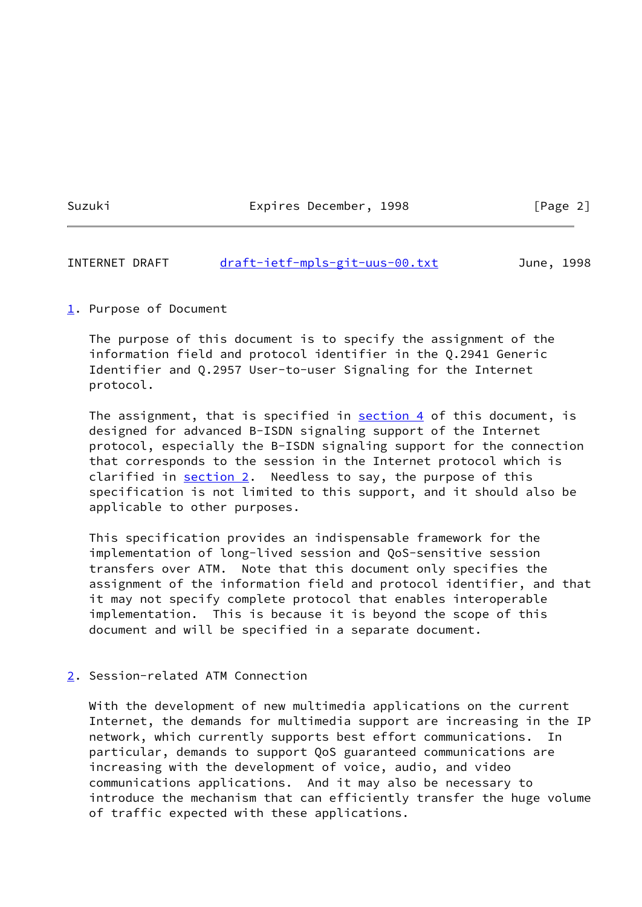Suzuki Expires December, 1998 [Page 2]

INTERNET DRAFT [draft-ietf-mpls-git-uus-00.txt](https://datatracker.ietf.org/doc/pdf/draft-ietf-mpls-git-uus-00.txt) June, 1998

## <span id="page-2-1"></span>[1](#page-2-1). Purpose of Document

 The purpose of this document is to specify the assignment of the information field and protocol identifier in the Q.2941 Generic Identifier and Q.2957 User-to-user Signaling for the Internet protocol.

The assignment, that is specified in [section 4](#page-11-0) of this document, is designed for advanced B-ISDN signaling support of the Internet protocol, especially the B-ISDN signaling support for the connection that corresponds to the session in the Internet protocol which is clarified in [section 2](#page-2-0). Needless to say, the purpose of this specification is not limited to this support, and it should also be applicable to other purposes.

 This specification provides an indispensable framework for the implementation of long-lived session and QoS-sensitive session transfers over ATM. Note that this document only specifies the assignment of the information field and protocol identifier, and that it may not specify complete protocol that enables interoperable implementation. This is because it is beyond the scope of this document and will be specified in a separate document.

#### <span id="page-2-0"></span>[2](#page-2-0). Session-related ATM Connection

 With the development of new multimedia applications on the current Internet, the demands for multimedia support are increasing in the IP network, which currently supports best effort communications. In particular, demands to support QoS guaranteed communications are increasing with the development of voice, audio, and video communications applications. And it may also be necessary to introduce the mechanism that can efficiently transfer the huge volume of traffic expected with these applications.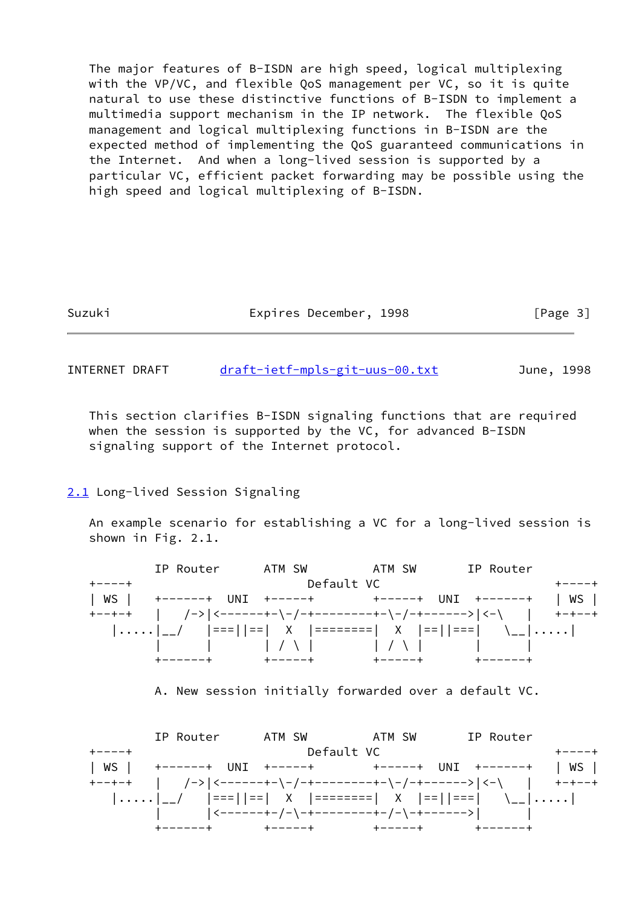The major features of B-ISDN are high speed, logical multiplexing with the VP/VC, and flexible QoS management per VC, so it is quite natural to use these distinctive functions of B-ISDN to implement a multimedia support mechanism in the IP network. The flexible QoS management and logical multiplexing functions in B-ISDN are the expected method of implementing the QoS guaranteed communications in the Internet. And when a long-lived session is supported by a particular VC, efficient packet forwarding may be possible using the high speed and logical multiplexing of B-ISDN.

| Suzuki | Expires December, 1998 | [Page 3] |
|--------|------------------------|----------|
|        |                        |          |

INTERNET DRAFT [draft-ietf-mpls-git-uus-00.txt](https://datatracker.ietf.org/doc/pdf/draft-ietf-mpls-git-uus-00.txt) June, 1998

 This section clarifies B-ISDN signaling functions that are required when the session is supported by the VC, for advanced B-ISDN signaling support of the Internet protocol.

# <span id="page-3-0"></span>[2.1](#page-3-0) Long-lived Session Signaling

 An example scenario for establishing a VC for a long-lived session is shown in Fig. 2.1.

 IP Router ATM SW ATM SW IP Router +----+ Default VC +----+ | WS | +------+ UNI +-----+ + +-----+ UNI +------+ | WS | +--+-+ | /->|<------+-\-/-+--------+-\-/-+------>|<-\ | +-+--+ |.....|\_\_/ |===||==| X |========| X |==||===| \\_\_|.....| | | | / \ | | / \ | | | +------+ +-----+ +-----+ +------+



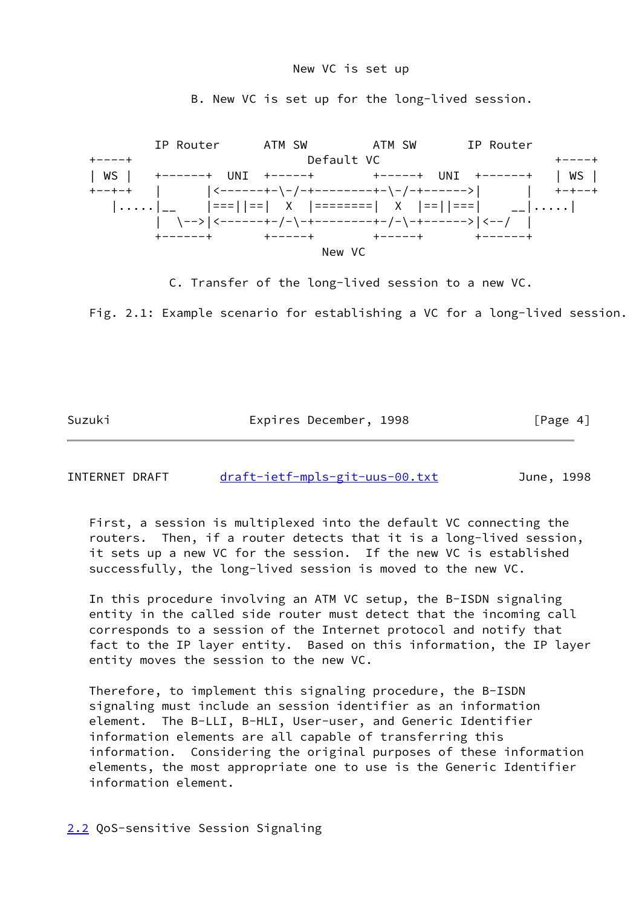#### New VC is set up



B. New VC is set up for the long-lived session.

C. Transfer of the long-lived session to a new VC.

Fig. 2.1: Example scenario for establishing a VC for a long-lived session.

Suzuki Expires December, 1998 [Page 4]

INTERNET DRAFT [draft-ietf-mpls-git-uus-00.txt](https://datatracker.ietf.org/doc/pdf/draft-ietf-mpls-git-uus-00.txt) June, 1998

 First, a session is multiplexed into the default VC connecting the routers. Then, if a router detects that it is a long-lived session, it sets up a new VC for the session. If the new VC is established successfully, the long-lived session is moved to the new VC.

 In this procedure involving an ATM VC setup, the B-ISDN signaling entity in the called side router must detect that the incoming call corresponds to a session of the Internet protocol and notify that fact to the IP layer entity. Based on this information, the IP layer entity moves the session to the new VC.

 Therefore, to implement this signaling procedure, the B-ISDN signaling must include an session identifier as an information element. The B-LLI, B-HLI, User-user, and Generic Identifier information elements are all capable of transferring this information. Considering the original purposes of these information elements, the most appropriate one to use is the Generic Identifier information element.

<span id="page-4-0"></span>[2.2](#page-4-0) QoS-sensitive Session Signaling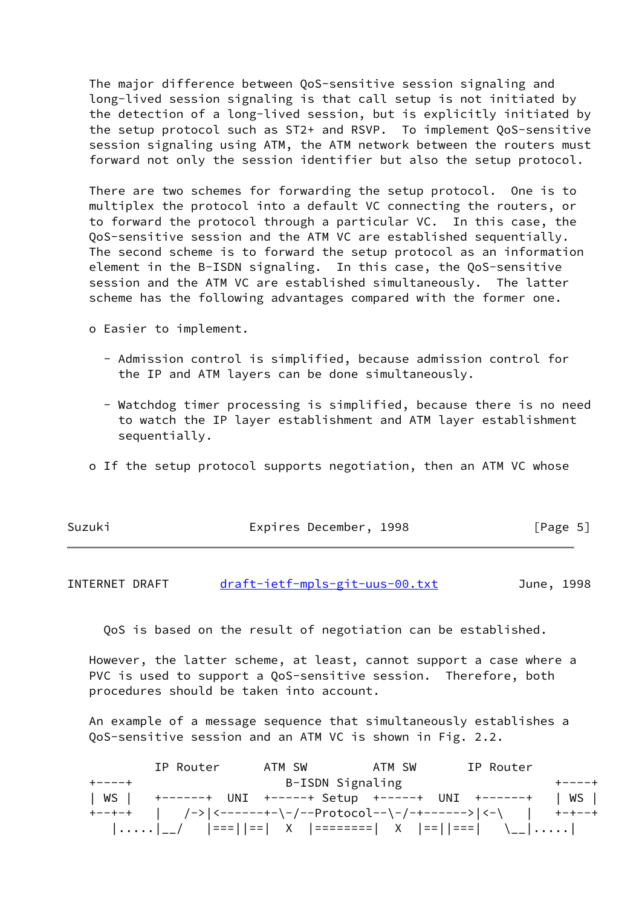The major difference between QoS-sensitive session signaling and long-lived session signaling is that call setup is not initiated by the detection of a long-lived session, but is explicitly initiated by the setup protocol such as ST2+ and RSVP. To implement QoS-sensitive session signaling using ATM, the ATM network between the routers must forward not only the session identifier but also the setup protocol.

 There are two schemes for forwarding the setup protocol. One is to multiplex the protocol into a default VC connecting the routers, or to forward the protocol through a particular VC. In this case, the QoS-sensitive session and the ATM VC are established sequentially. The second scheme is to forward the setup protocol as an information element in the B-ISDN signaling. In this case, the QoS-sensitive session and the ATM VC are established simultaneously. The latter scheme has the following advantages compared with the former one.

o Easier to implement.

- Admission control is simplified, because admission control for the IP and ATM layers can be done simultaneously.
- Watchdog timer processing is simplified, because there is no need to watch the IP layer establishment and ATM layer establishment sequentially.
- o If the setup protocol supports negotiation, then an ATM VC whose

| Suzuki | Expires December, 1998 | [Page 5] |
|--------|------------------------|----------|
|        |                        |          |

INTERNET DRAFT [draft-ietf-mpls-git-uus-00.txt](https://datatracker.ietf.org/doc/pdf/draft-ietf-mpls-git-uus-00.txt) June, 1998

QoS is based on the result of negotiation can be established.

 However, the latter scheme, at least, cannot support a case where a PVC is used to support a QoS-sensitive session. Therefore, both procedures should be taken into account.

 An example of a message sequence that simultaneously establishes a QoS-sensitive session and an ATM VC is shown in Fig. 2.2.

 IP Router ATM SW ATM SW IP Router +----+ B-ISDN Signaling +----+ | WS | +------+ UNI +-----+ Setup +-----+ UNI +------+ | WS | +--+-+ | /->|<------+-\-/--Protocol--\-/-+------>|<-\ | +-+--+ |.....|\_\_/ |===||==| X |========| X |==||===| \\_\_|.....|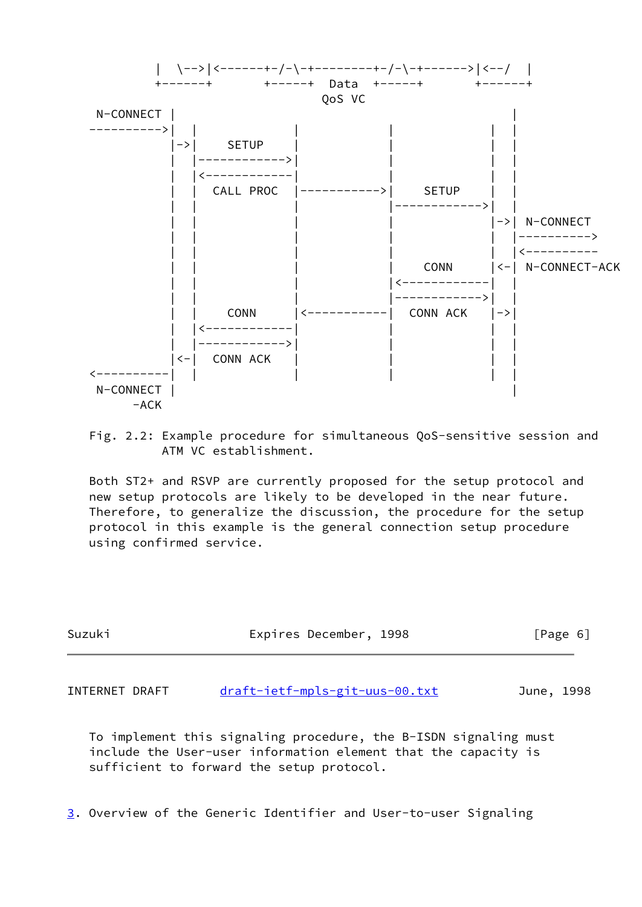

 Fig. 2.2: Example procedure for simultaneous QoS-sensitive session and ATM VC establishment.

 Both ST2+ and RSVP are currently proposed for the setup protocol and new setup protocols are likely to be developed in the near future. Therefore, to generalize the discussion, the procedure for the setup protocol in this example is the general connection setup procedure using confirmed service.

| Suzuki | Expires December, 1998 | [Page 6] |  |
|--------|------------------------|----------|--|
|        |                        |          |  |

INTERNET DRAFT [draft-ietf-mpls-git-uus-00.txt](https://datatracker.ietf.org/doc/pdf/draft-ietf-mpls-git-uus-00.txt) June, 1998

 To implement this signaling procedure, the B-ISDN signaling must include the User-user information element that the capacity is sufficient to forward the setup protocol.

<span id="page-6-0"></span>[3](#page-6-0). Overview of the Generic Identifier and User-to-user Signaling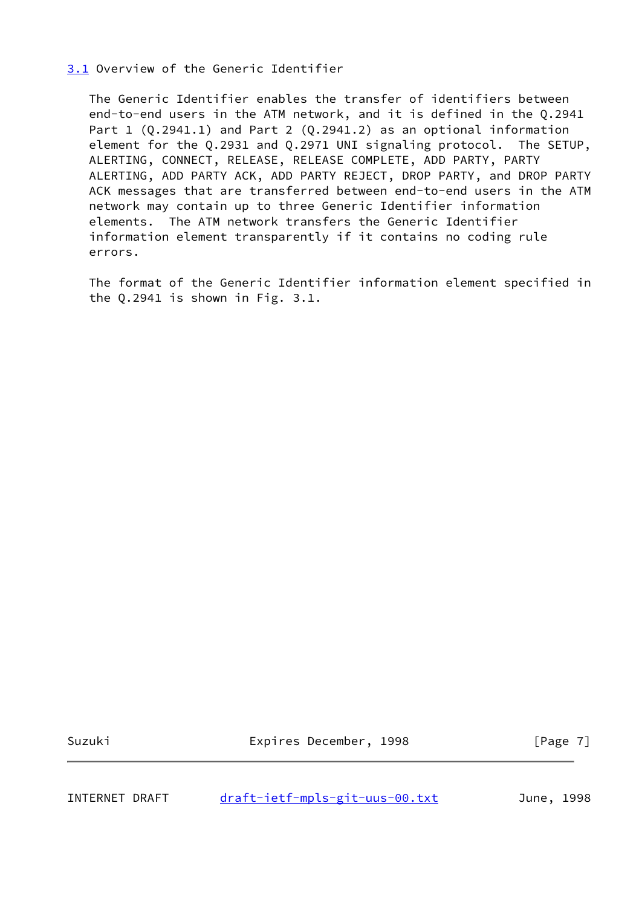<span id="page-7-0"></span>[3.1](#page-7-0) Overview of the Generic Identifier

 The Generic Identifier enables the transfer of identifiers between end-to-end users in the ATM network, and it is defined in the Q.2941 Part 1 (Q.2941.1) and Part 2 (Q.2941.2) as an optional information element for the Q.2931 and Q.2971 UNI signaling protocol. The SETUP, ALERTING, CONNECT, RELEASE, RELEASE COMPLETE, ADD PARTY, PARTY ALERTING, ADD PARTY ACK, ADD PARTY REJECT, DROP PARTY, and DROP PARTY ACK messages that are transferred between end-to-end users in the ATM network may contain up to three Generic Identifier information elements. The ATM network transfers the Generic Identifier information element transparently if it contains no coding rule errors.

 The format of the Generic Identifier information element specified in the Q.2941 is shown in Fig. 3.1.

Suzuki Expires December, 1998 [Page 7]

INTERNET DRAFT [draft-ietf-mpls-git-uus-00.txt](https://datatracker.ietf.org/doc/pdf/draft-ietf-mpls-git-uus-00.txt) June, 1998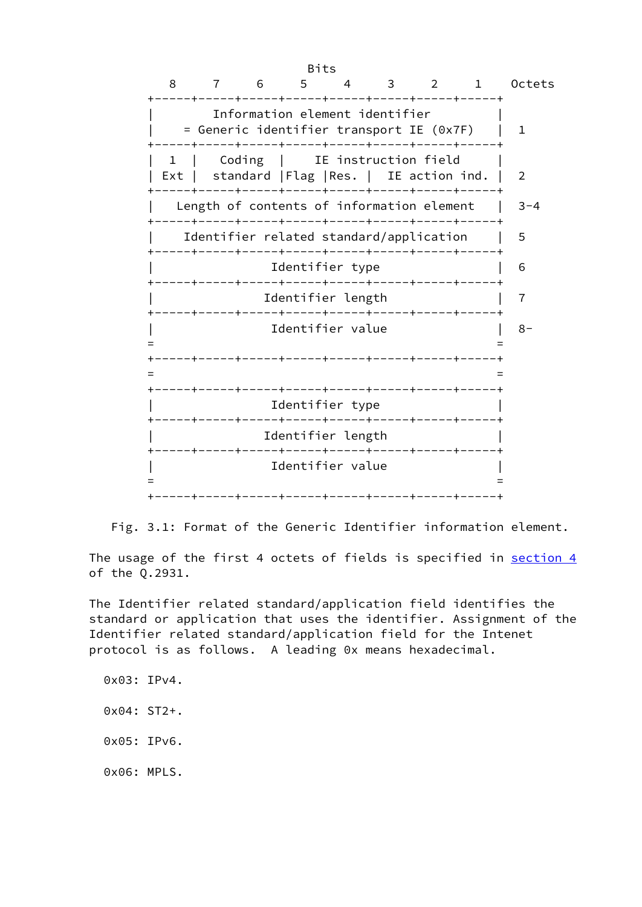

Fig. 3.1: Format of the Generic Identifier information element.

The usage of the first 4 octets of fields is specified in [section 4](#page-11-0) of the Q.2931.

 The Identifier related standard/application field identifies the standard or application that uses the identifier. Assignment of the Identifier related standard/application field for the Intenet protocol is as follows. A leading 0x means hexadecimal.

 0x03: IPv4. 0x04: ST2+. 0x05: IPv6. 0x06: MPLS.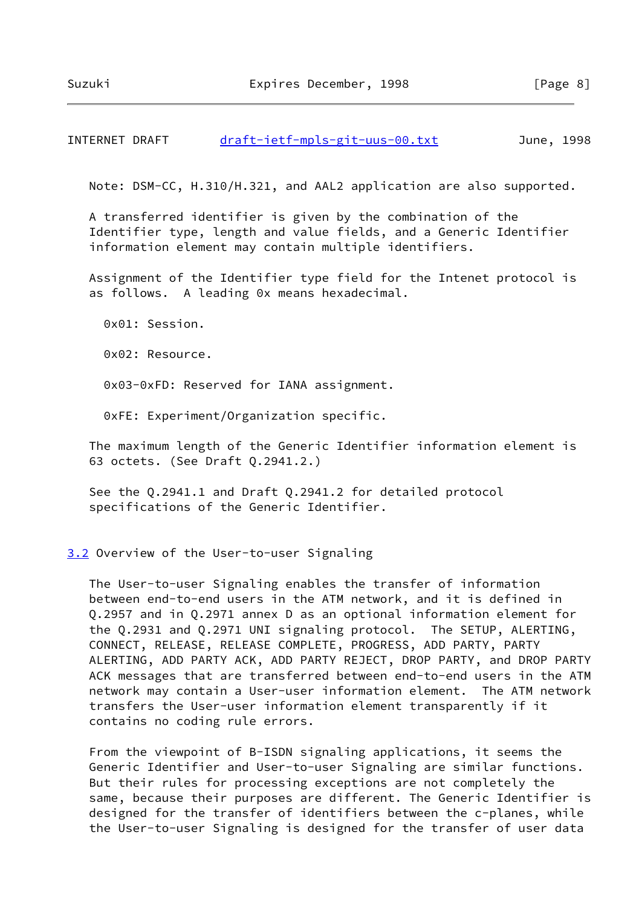INTERNET DRAFT [draft-ietf-mpls-git-uus-00.txt](https://datatracker.ietf.org/doc/pdf/draft-ietf-mpls-git-uus-00.txt) June, 1998

Note: DSM-CC, H.310/H.321, and AAL2 application are also supported.

 A transferred identifier is given by the combination of the Identifier type, length and value fields, and a Generic Identifier information element may contain multiple identifiers.

 Assignment of the Identifier type field for the Intenet protocol is as follows. A leading 0x means hexadecimal.

0x01: Session.

0x02: Resource.

0x03-0xFD: Reserved for IANA assignment.

0xFE: Experiment/Organization specific.

 The maximum length of the Generic Identifier information element is 63 octets. (See Draft Q.2941.2.)

 See the Q.2941.1 and Draft Q.2941.2 for detailed protocol specifications of the Generic Identifier.

<span id="page-9-0"></span>[3.2](#page-9-0) Overview of the User-to-user Signaling

 The User-to-user Signaling enables the transfer of information between end-to-end users in the ATM network, and it is defined in Q.2957 and in Q.2971 annex D as an optional information element for the Q.2931 and Q.2971 UNI signaling protocol. The SETUP, ALERTING, CONNECT, RELEASE, RELEASE COMPLETE, PROGRESS, ADD PARTY, PARTY ALERTING, ADD PARTY ACK, ADD PARTY REJECT, DROP PARTY, and DROP PARTY ACK messages that are transferred between end-to-end users in the ATM network may contain a User-user information element. The ATM network transfers the User-user information element transparently if it contains no coding rule errors.

 From the viewpoint of B-ISDN signaling applications, it seems the Generic Identifier and User-to-user Signaling are similar functions. But their rules for processing exceptions are not completely the same, because their purposes are different. The Generic Identifier is designed for the transfer of identifiers between the c-planes, while the User-to-user Signaling is designed for the transfer of user data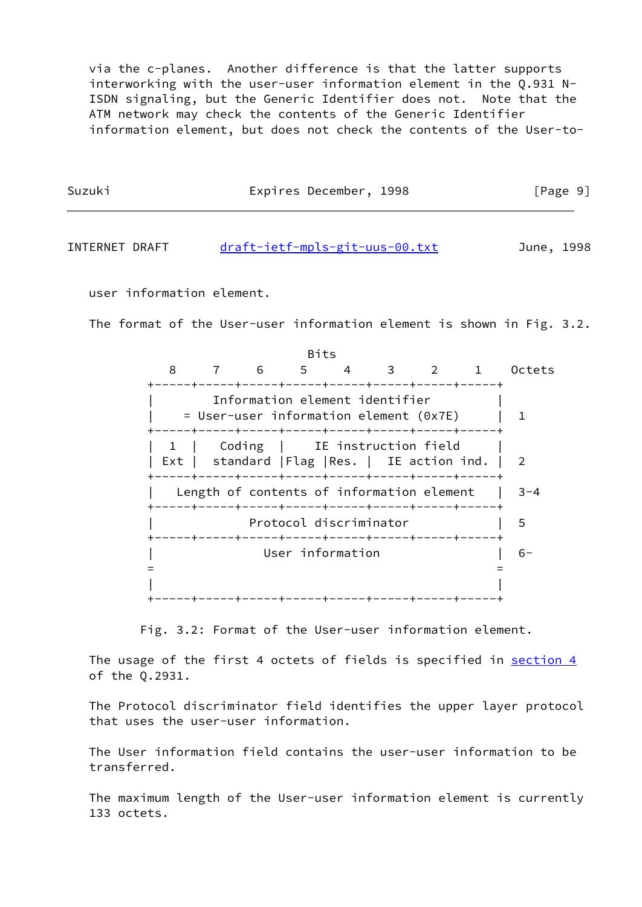via the c-planes. Another difference is that the latter supports interworking with the user-user information element in the Q.931 N- ISDN signaling, but the Generic Identifier does not. Note that the ATM network may check the contents of the Generic Identifier information element, but does not check the contents of the User-to-

| Suzuki | Expires December, 1998 | [Page 9] |
|--------|------------------------|----------|
|        |                        |          |

INTERNET DRAFT [draft-ietf-mpls-git-uus-00.txt](https://datatracker.ietf.org/doc/pdf/draft-ietf-mpls-git-uus-00.txt) June, 1998

user information element.

The format of the User-user information element is shown in Fig. 3.2.

|   |     | Bits        |                                |             |                                                                                 |         |
|---|-----|-------------|--------------------------------|-------------|---------------------------------------------------------------------------------|---------|
| 8 | . ნ | $5^{\circ}$ | 4                              | $3^{\circ}$ | $2^{\circ}$<br>-----+-----+-----+-----+-----+----+-                             | Octets  |
|   |     |             | Information element identifier |             | $=$ User-user information element (0x7E)<br>----+-----+-----+------+-----+----+ |         |
|   |     |             |                                |             | Coding   IE instruction field<br>Ext   standard   Flag   Res.   IE action ind.  | 2       |
|   |     |             |                                |             | Length of contents of information element                                       | $3 - 4$ |
|   |     |             | Protocol discriminator         |             |                                                                                 | 5       |
|   |     |             | User information               |             |                                                                                 | $6-$    |
|   |     |             |                                |             |                                                                                 |         |
|   |     |             |                                |             | -+-----+-----+-----+------+-----+----+---                                       |         |

Fig. 3.2: Format of the User-user information element.

The usage of the first 4 octets of fields is specified in [section 4](#page-11-0) of the Q.2931.

 The Protocol discriminator field identifies the upper layer protocol that uses the user-user information.

 The User information field contains the user-user information to be transferred.

 The maximum length of the User-user information element is currently 133 octets.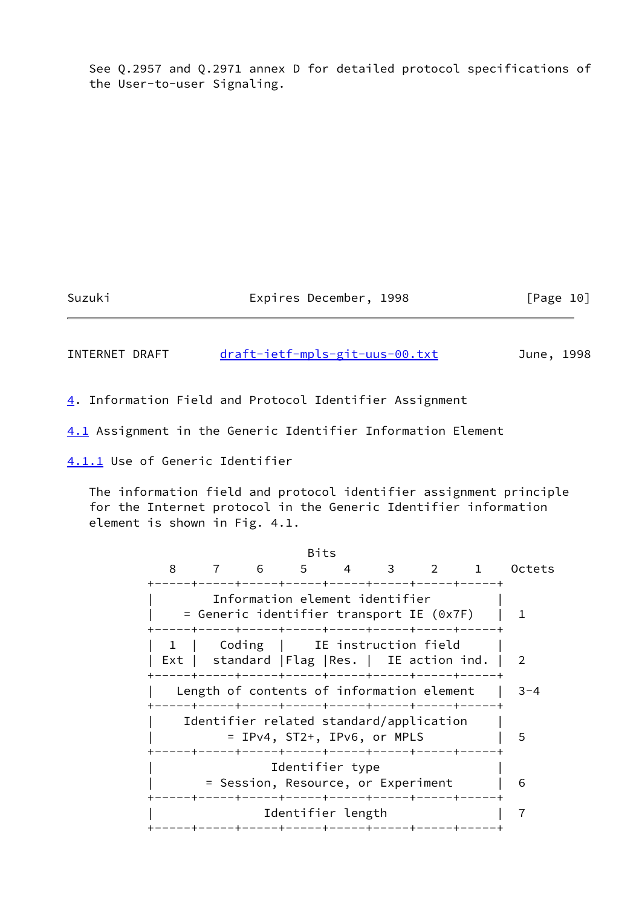See Q.2957 and Q.2971 annex D for detailed protocol specifications of the User-to-user Signaling.

Suzuki Expires December, 1998 [Page 10]

INTERNET DRAFT [draft-ietf-mpls-git-uus-00.txt](https://datatracker.ietf.org/doc/pdf/draft-ietf-mpls-git-uus-00.txt) June, 1998

<span id="page-11-0"></span>[4](#page-11-0). Information Field and Protocol Identifier Assignment

<span id="page-11-1"></span>[4.1](#page-11-1) Assignment in the Generic Identifier Information Element

<span id="page-11-2"></span>[4.1.1](#page-11-2) Use of Generic Identifier

 The information field and protocol identifier assignment principle for the Internet protocol in the Generic Identifier information element is shown in Fig. 4.1.

> Bits 8 7 6 5 4 3 2 1 Octets +-----+-----+-----+-----+-----+-----+-----+-----+ Information element identifier | = Generic identifier transport IE (0x7F) | 1 +-----+-----+-----+-----+-----+-----+-----+-----+ 1 | Coding | IE instruction field | Ext | standard | Flag | Res. | IE action ind. | 2 +-----+-----+-----+-----+-----+-----+-----+-----+ | Length of contents of information element | 3-4 +-----+-----+-----+-----+-----+-----+-----+-----+ Identifier related standard/application | = IPv4, ST2+, IPv6, or MPLS | 5 +-----+-----+-----+-----+-----+-----+-----+-----+ Identifier type | Session, Resource, or Experiment | 6 +-----+-----+-----+-----+-----+-----+-----+-----+ | Identifier length | 7 +-----+-----+-----+-----+-----+-----+-----+-----+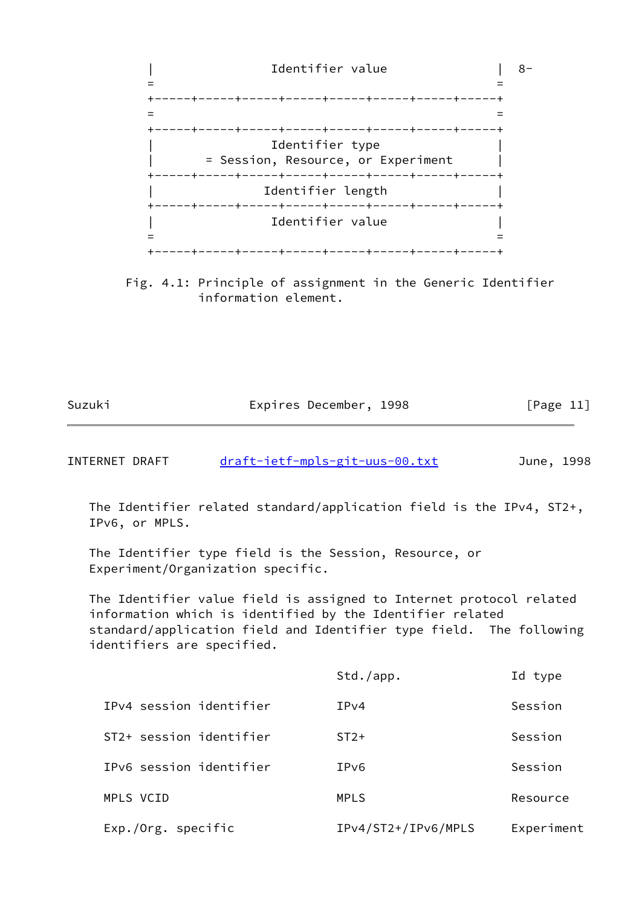

 Fig. 4.1: Principle of assignment in the Generic Identifier information element.

| Suzuki | Expires December, 1998 | [Page 11] |
|--------|------------------------|-----------|
|        |                        |           |

INTERNET DRAFT [draft-ietf-mpls-git-uus-00.txt](https://datatracker.ietf.org/doc/pdf/draft-ietf-mpls-git-uus-00.txt) June, 1998

 The Identifier related standard/application field is the IPv4, ST2+, IPv6, or MPLS.

 The Identifier type field is the Session, Resource, or Experiment/Organization specific.

 The Identifier value field is assigned to Internet protocol related information which is identified by the Identifier related standard/application field and Identifier type field. The following identifiers are specified.

|                         | Std./app.           | Id type    |
|-------------------------|---------------------|------------|
| IPv4 session identifier | IPv4                | Session    |
| ST2+ session identifier | $ST2+$              | Session    |
| IPv6 session identifier | IPv6                | Session    |
| MPLS VCID               | <b>MPLS</b>         | Resource   |
| Exp./Org. specific      | IPv4/ST2+/IPv6/MPLS | Experiment |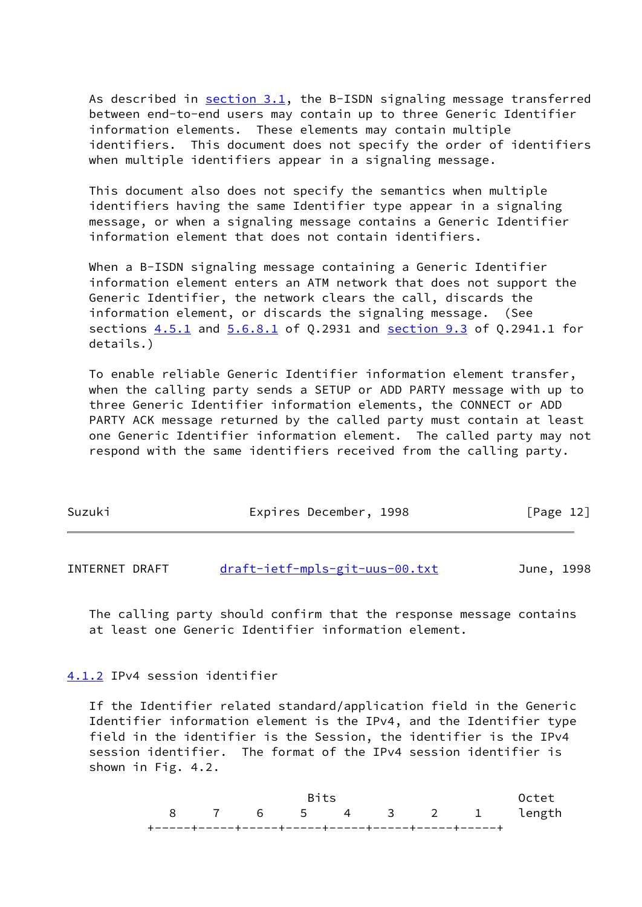As described in [section 3.1](#page-7-0), the B-ISDN signaling message transferred between end-to-end users may contain up to three Generic Identifier information elements. These elements may contain multiple identifiers. This document does not specify the order of identifiers when multiple identifiers appear in a signaling message.

 This document also does not specify the semantics when multiple identifiers having the same Identifier type appear in a signaling message, or when a signaling message contains a Generic Identifier information element that does not contain identifiers.

When a B-ISDN signaling message containing a Generic Identifier information element enters an ATM network that does not support the Generic Identifier, the network clears the call, discards the information element, or discards the signaling message. (See sections 4.5.1 and 5.6.8.1 of Q.2931 and section 9.3 of Q.2941.1 for details.)

 To enable reliable Generic Identifier information element transfer, when the calling party sends a SETUP or ADD PARTY message with up to three Generic Identifier information elements, the CONNECT or ADD PARTY ACK message returned by the called party must contain at least one Generic Identifier information element. The called party may not respond with the same identifiers received from the calling party.

| Suzuki | Expires December, 1998 | [Page 12] |
|--------|------------------------|-----------|
|        |                        |           |

INTERNET DRAFT [draft-ietf-mpls-git-uus-00.txt](https://datatracker.ietf.org/doc/pdf/draft-ietf-mpls-git-uus-00.txt) June, 1998

 The calling party should confirm that the response message contains at least one Generic Identifier information element.

<span id="page-13-0"></span>[4.1.2](#page-13-0) IPv4 session identifier

 If the Identifier related standard/application field in the Generic Identifier information element is the IPv4, and the Identifier type field in the identifier is the Session, the identifier is the IPv4 session identifier. The format of the IPv4 session identifier is shown in Fig. 4.2.

| Rits |  |  |  |  |  |                        | Octet |
|------|--|--|--|--|--|------------------------|-------|
|      |  |  |  |  |  | 8 7 6 5 4 3 2 1 length |       |
|      |  |  |  |  |  |                        |       |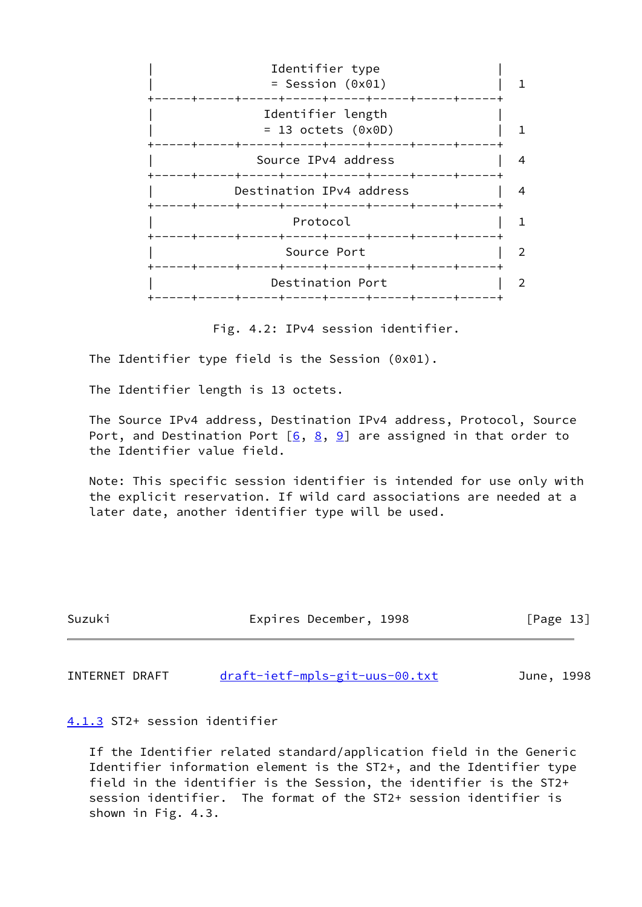| Identifier type<br>$=$ Session (0x01)                           |                  |   |
|-----------------------------------------------------------------|------------------|---|
| Identifier length<br>$= 13$ octets (0x0D)                       |                  |   |
| Source IPv4 address<br>----+-----+-----+-----+-----+-----+----+ |                  | 4 |
| Destination IPv4 address<br>----+-----+-----+----               |                  | 4 |
| Protocol                                                        |                  |   |
| Source Port                                                     |                  |   |
| ----+-----+-----+-----+-----+-----<br>Destination Port          |                  |   |
|                                                                 | -----+-----+---- |   |

Fig. 4.2: IPv4 session identifier.

The Identifier type field is the Session (0x01).

The Identifier length is 13 octets.

 The Source IPv4 address, Destination IPv4 address, Protocol, Source Port, and Destination Port  $[6, 8, 9]$  $[6, 8, 9]$  $[6, 8, 9]$  $[6, 8, 9]$  $[6, 8, 9]$  are assigned in that order to the Identifier value field.

 Note: This specific session identifier is intended for use only with the explicit reservation. If wild card associations are needed at a later date, another identifier type will be used.

| Suzuki | Expires December, 1998 | [Page 13] |
|--------|------------------------|-----------|
|        |                        |           |

INTERNET DRAFT [draft-ietf-mpls-git-uus-00.txt](https://datatracker.ietf.org/doc/pdf/draft-ietf-mpls-git-uus-00.txt) June, 1998

<span id="page-14-0"></span>[4.1.3](#page-14-0) ST2+ session identifier

 If the Identifier related standard/application field in the Generic Identifier information element is the ST2+, and the Identifier type field in the identifier is the Session, the identifier is the ST2+ session identifier. The format of the ST2+ session identifier is shown in Fig. 4.3.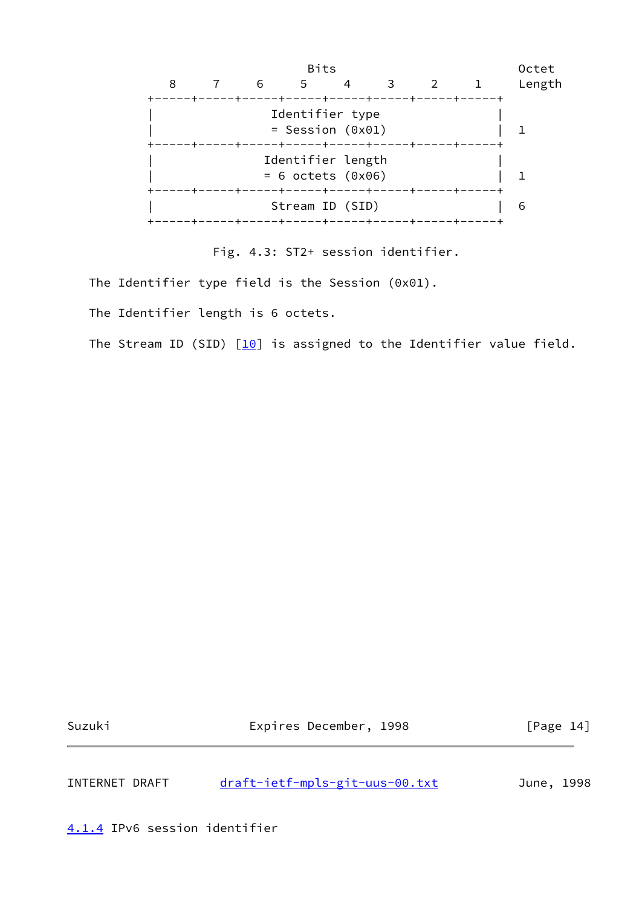

Fig. 4.3: ST2+ session identifier.

The Identifier type field is the Session (0x01).

The Identifier length is 6 octets.

The Stream ID (SID)  $\boxed{10}$  is assigned to the Identifier value field.

Suzuki Expires December, 1998 [Page 14]

INTERNET DRAFT [draft-ietf-mpls-git-uus-00.txt](https://datatracker.ietf.org/doc/pdf/draft-ietf-mpls-git-uus-00.txt) June, 1998

<span id="page-15-0"></span>[4.1.4](#page-15-0) IPv6 session identifier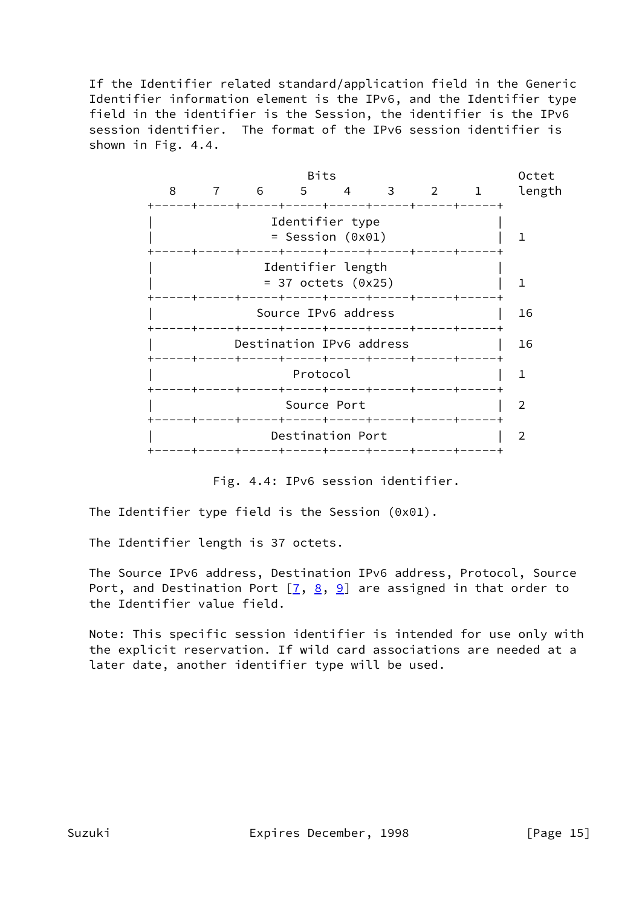If the Identifier related standard/application field in the Generic Identifier information element is the IPv6, and the Identifier type field in the identifier is the Session, the identifier is the IPv6 session identifier. The format of the IPv6 session identifier is shown in Fig. 4.4.



Fig. 4.4: IPv6 session identifier.

The Identifier type field is the Session (0x01).

The Identifier length is 37 octets.

 The Source IPv6 address, Destination IPv6 address, Protocol, Source Port, and Destination Port  $[7, 8, 9]$  $[7, 8, 9]$  $[7, 8, 9]$  $[7, 8, 9]$  $[7, 8, 9]$  are assigned in that order to the Identifier value field.

 Note: This specific session identifier is intended for use only with the explicit reservation. If wild card associations are needed at a later date, another identifier type will be used.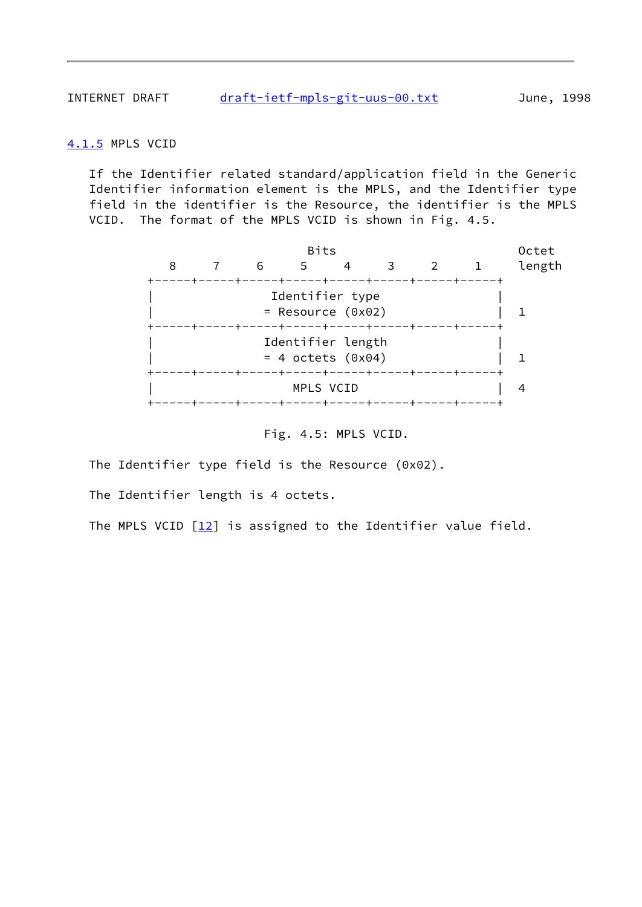INTERNET DRAFT [draft-ietf-mpls-git-uus-00.txt](https://datatracker.ietf.org/doc/pdf/draft-ietf-mpls-git-uus-00.txt) June, 1998

## <span id="page-17-0"></span>[4.1.5](#page-17-0) MPLS VCID

 If the Identifier related standard/application field in the Generic Identifier information element is the MPLS, and the Identifier type field in the identifier is the Resource, the identifier is the MPLS VCID. The format of the MPLS VCID is shown in Fig. 4.5.



Fig. 4.5: MPLS VCID.

The Identifier type field is the Resource (0x02).

The Identifier length is 4 octets.

The MPLS VCID  $[12]$  $[12]$  is assigned to the Identifier value field.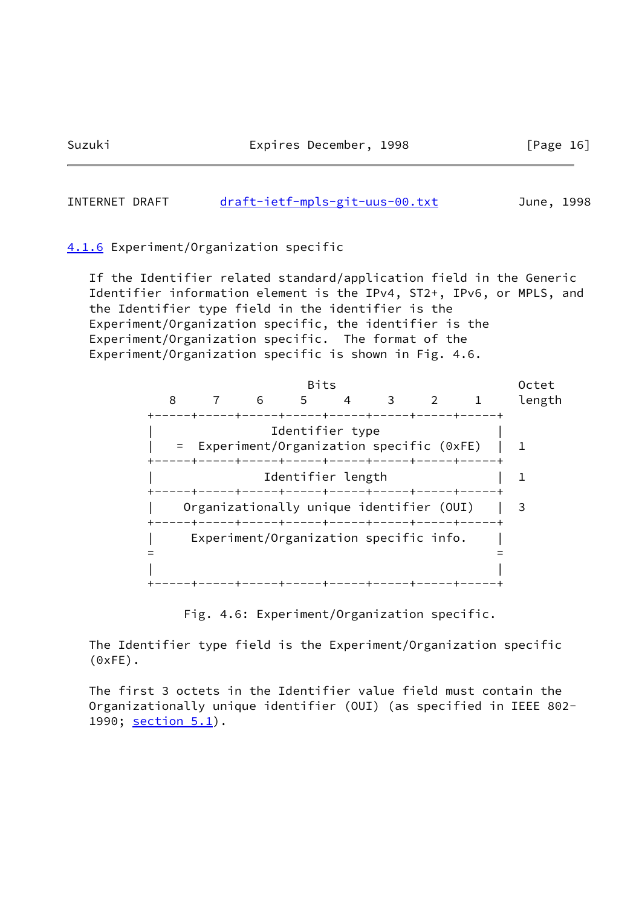#### INTERNET DRAFT [draft-ietf-mpls-git-uus-00.txt](https://datatracker.ietf.org/doc/pdf/draft-ietf-mpls-git-uus-00.txt) June, 1998

<span id="page-18-0"></span>[4.1.6](#page-18-0) Experiment/Organization specific

 If the Identifier related standard/application field in the Generic Identifier information element is the IPv4, ST2+, IPv6, or MPLS, and the Identifier type field in the identifier is the Experiment/Organization specific, the identifier is the Experiment/Organization specific. The format of the Experiment/Organization specific is shown in Fig. 4.6.

|   |   | <b>Bits</b> |                                           |   |               | Octet  |
|---|---|-------------|-------------------------------------------|---|---------------|--------|
| 8 | 6 | 5           | 4                                         | 3 | $\mathcal{L}$ | length |
|   |   |             |                                           |   |               |        |
|   |   |             | Identifier type                           |   |               |        |
|   |   |             | = Experiment/Organization specific (0xFE) |   |               |        |
|   |   |             |                                           |   |               |        |
|   |   |             | Identifier length                         |   |               |        |
|   |   |             | ----+-----+-----+-----+-----+-            |   |               |        |
|   |   |             | Organizationally unique identifier (OUI)  |   |               | 3      |
|   |   |             |                                           |   |               |        |
|   |   |             | Experiment/Organization specific info.    |   |               |        |
|   |   |             |                                           |   |               |        |
|   |   |             |                                           |   |               |        |
|   |   |             |                                           |   |               |        |
|   |   |             |                                           |   |               |        |

Fig. 4.6: Experiment/Organization specific.

 The Identifier type field is the Experiment/Organization specific (0xFE).

 The first 3 octets in the Identifier value field must contain the Organizationally unique identifier (OUI) (as specified in IEEE 802- 1990; section 5.1).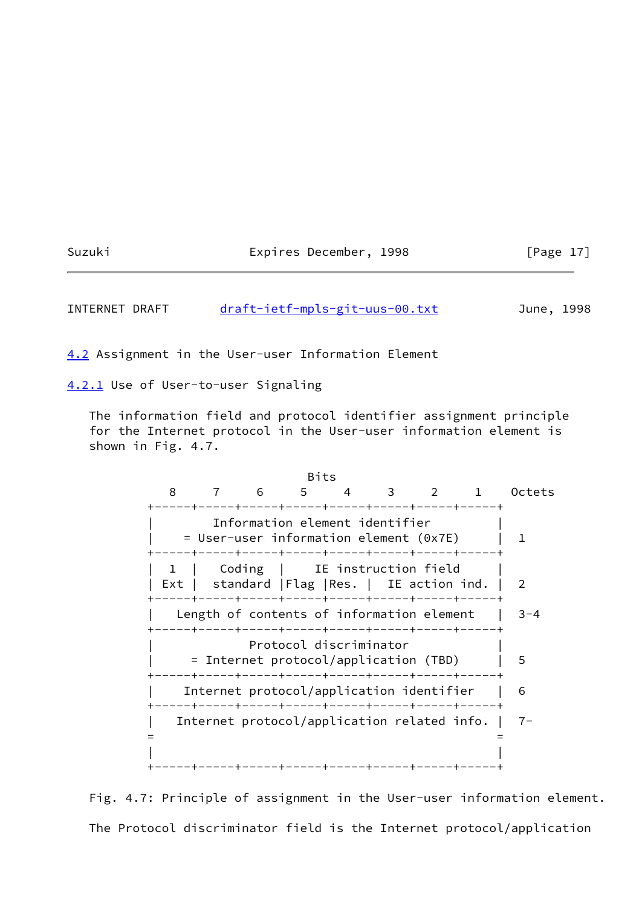# Suzuki Expires December, 1998 [Page 17]

INTERNET DRAFT [draft-ietf-mpls-git-uus-00.txt](https://datatracker.ietf.org/doc/pdf/draft-ietf-mpls-git-uus-00.txt) June, 1998

<span id="page-19-0"></span>[4.2](#page-19-0) Assignment in the User-user Information Element

<span id="page-19-1"></span>[4.2.1](#page-19-1) Use of User-to-user Signaling

 The information field and protocol identifier assignment principle for the Internet protocol in the User-user information element is shown in Fig. 4.7.

<u>Bits and the contract of the Bits</u> 8 7 6 5 4 3 2 1 Octets +-----+-----+-----+-----+-----+-----+-----+-----+ Information element identifier | = User-user information element (0x7E) | 1 +-----+-----+-----+-----+-----+-----+-----+-----+ 1 | Coding | IE instruction field | Ext | standard |Flag |Res. | IE action ind. | 2 +-----+-----+-----+-----+-----+-----+-----+-----+ | Length of contents of information element | 3-4 +-----+-----+-----+-----+-----+-----+-----+-----+ Protocol discriminator | = Internet protocol/application (TBD) | 5 +-----+-----+-----+-----+-----+-----+-----+-----+ | Internet protocol/application identifier | 6 +-----+-----+-----+-----+-----+-----+-----+-----+ | Internet protocol/application related info. | 7- = = | | +-----+-----+-----+-----+-----+-----+-----+-----+

 Fig. 4.7: Principle of assignment in the User-user information element. The Protocol discriminator field is the Internet protocol/application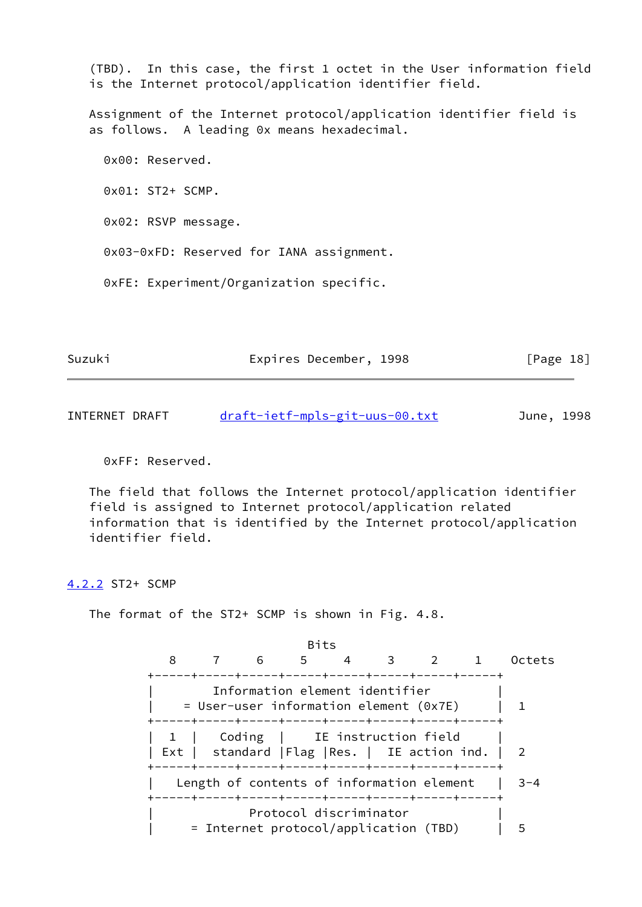(TBD). In this case, the first 1 octet in the User information field is the Internet protocol/application identifier field.

 Assignment of the Internet protocol/application identifier field is as follows. A leading 0x means hexadecimal.

 0x00: Reserved. 0x01: ST2+ SCMP. 0x02: RSVP message. 0x03-0xFD: Reserved for IANA assignment. 0xFE: Experiment/Organization specific.

| Suzuki | Expires December, 1998 | [Page 18] |
|--------|------------------------|-----------|
|        |                        |           |

INTERNET DRAFT [draft-ietf-mpls-git-uus-00.txt](https://datatracker.ietf.org/doc/pdf/draft-ietf-mpls-git-uus-00.txt) June, 1998

0xFF: Reserved.

 The field that follows the Internet protocol/application identifier field is assigned to Internet protocol/application related information that is identified by the Internet protocol/application identifier field.

<span id="page-20-0"></span>[4.2.2](#page-20-0) ST2+ SCMP

The format of the ST2+ SCMP is shown in Fig. 4.8.

 Bits 8 7 6 5 4 3 2 1 Octets +-----+-----+-----+-----+-----+-----+-----+-----+ Information element identifier  $=$  User-user information element (0x7E)  $|1$  +-----+-----+-----+-----+-----+-----+-----+-----+ | 1 | Coding | IE instruction field | Ext | standard |Flag |Res. | IE action ind. | 2 +-----+-----+-----+-----+-----+-----+-----+-----+ | Length of contents of information element | 3-4 +-----+-----+-----+-----+-----+-----+-----+-----+ Protocol discriminator | = Internet protocol/application (TBD) | 5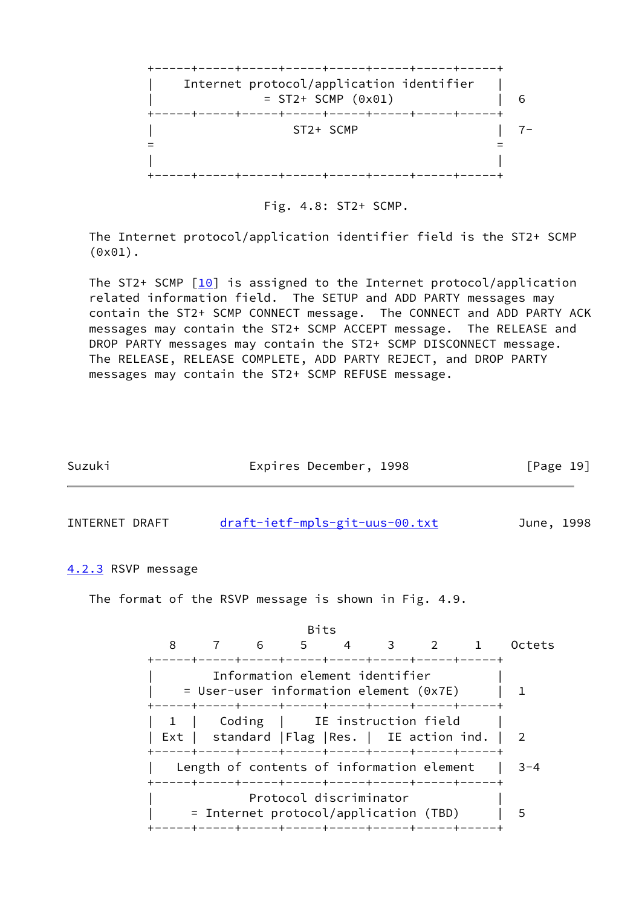

Fig. 4.8: ST2+ SCMP.

 The Internet protocol/application identifier field is the ST2+ SCMP (0x01).

The ST2+ SCMP  $[10]$  $[10]$  is assigned to the Internet protocol/application related information field. The SETUP and ADD PARTY messages may contain the ST2+ SCMP CONNECT message. The CONNECT and ADD PARTY ACK messages may contain the ST2+ SCMP ACCEPT message. The RELEASE and DROP PARTY messages may contain the ST2+ SCMP DISCONNECT message. The RELEASE, RELEASE COMPLETE, ADD PARTY REJECT, and DROP PARTY messages may contain the ST2+ SCMP REFUSE message.

| Suzuki | Expires December, 1998 | [Page 19] |  |
|--------|------------------------|-----------|--|
|        |                        |           |  |

INTERNET DRAFT [draft-ietf-mpls-git-uus-00.txt](https://datatracker.ietf.org/doc/pdf/draft-ietf-mpls-git-uus-00.txt) June, 1998

<span id="page-21-0"></span>[4.2.3](#page-21-0) RSVP message

The format of the RSVP message is shown in Fig. 4.9.

 Bits 8 7 6 5 4 3 2 1 Octets +-----+-----+-----+-----+-----+-----+-----+-----+ Information element identifier | = User-user information element (0x7E) | 1 +-----+-----+-----+-----+-----+-----+-----+-----+ 1 | Coding | IE instruction field | Ext | standard | Flag | Res. | IE action ind. | 2 +-----+-----+-----+-----+-----+-----+-----+-----+ Length of contents of information element | 3-4 +-----+-----+-----+-----+-----+-----+-----+-----+ | Protocol discriminator | | = Internet protocol/application (TBD) | 5 +-----+-----+-----+-----+-----+-----+-----+-----+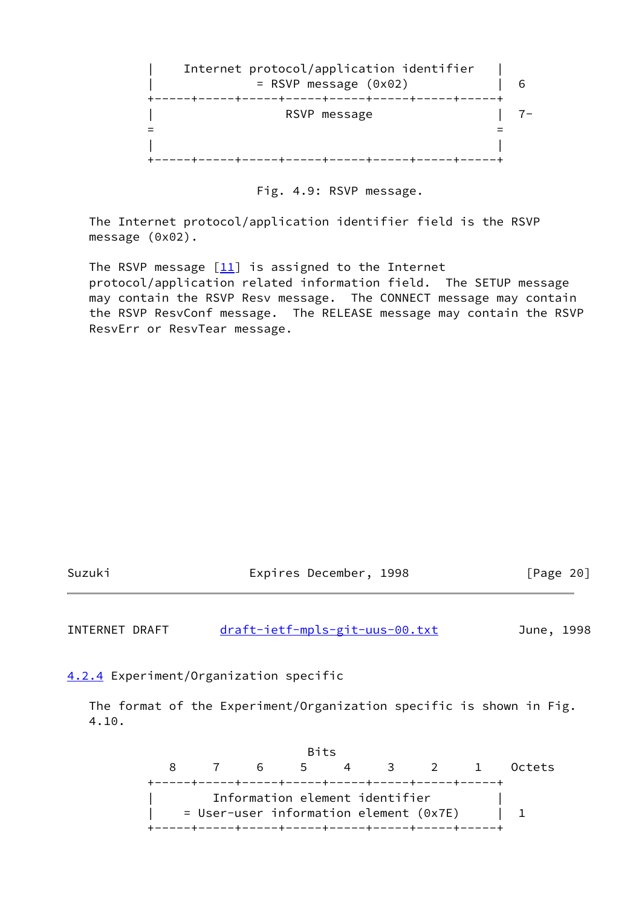

Fig. 4.9: RSVP message.

 The Internet protocol/application identifier field is the RSVP message (0x02).

The RSVP message  $[11]$  is assigned to the Internet protocol/application related information field. The SETUP message may contain the RSVP Resv message. The CONNECT message may contain the RSVP ResvConf message. The RELEASE message may contain the RSVP ResvErr or ResvTear message.

| Suzuki | Expires December, 1998 | [Page 20] |
|--------|------------------------|-----------|
|        |                        |           |

INTERNET DRAFT [draft-ietf-mpls-git-uus-00.txt](https://datatracker.ietf.org/doc/pdf/draft-ietf-mpls-git-uus-00.txt) June, 1998

<span id="page-22-0"></span>[4.2.4](#page-22-0) Experiment/Organization specific

 The format of the Experiment/Organization specific is shown in Fig. 4.10.

<u>Bits and the contract of the Bits</u> 8 7 6 5 4 3 2 1 Octets +-----+-----+-----+-----+-----+-----+-----+-----+ Information element identifier  $=$  User-user information element (0x7E) | 1 +-----+-----+-----+-----+-----+-----+-----+-----+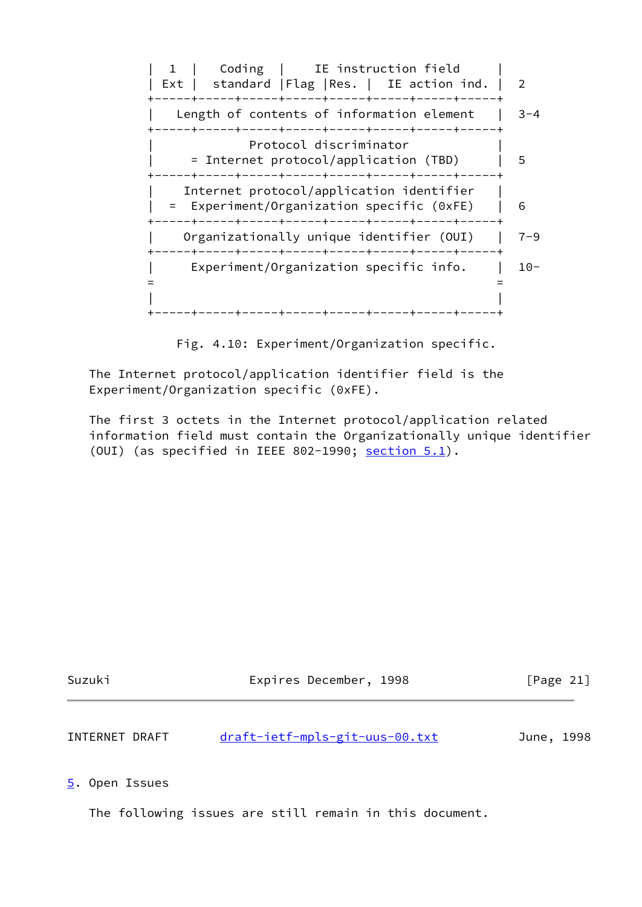

Fig. 4.10: Experiment/Organization specific.

 The Internet protocol/application identifier field is the Experiment/Organization specific (0xFE).

 The first 3 octets in the Internet protocol/application related information field must contain the Organizationally unique identifier (OUI) (as specified in IEEE 802-1990; section 5.1).

| Suzuki | Expires December, 1998 | [Page 21] |
|--------|------------------------|-----------|
|        |                        |           |

| draft-ietf-mpls-git-uus-00.txt<br>INTERNET DRAFT<br>June, 1998 |
|----------------------------------------------------------------|
|----------------------------------------------------------------|

<span id="page-23-0"></span>[5](#page-23-0). Open Issues

The following issues are still remain in this document.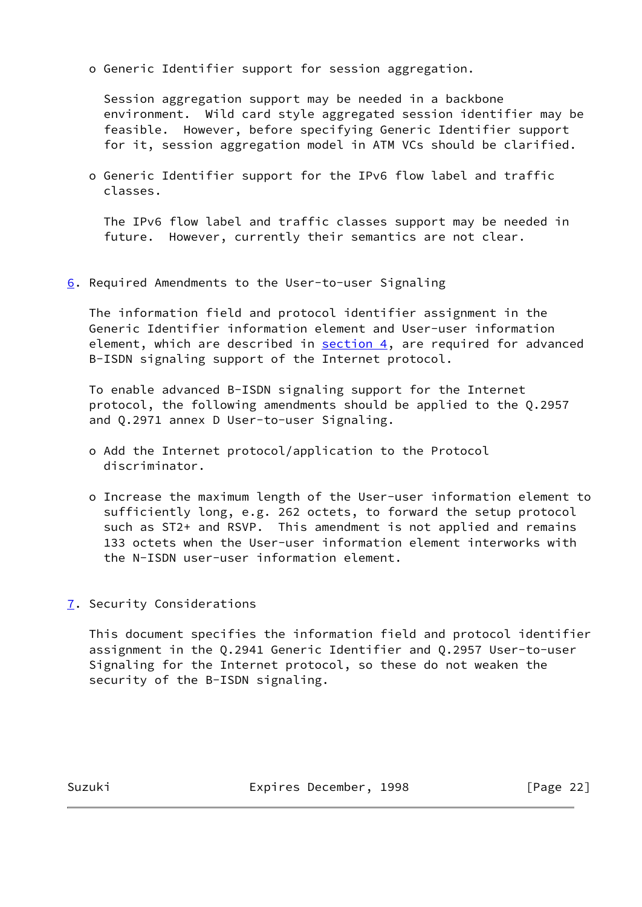o Generic Identifier support for session aggregation.

 Session aggregation support may be needed in a backbone environment. Wild card style aggregated session identifier may be feasible. However, before specifying Generic Identifier support for it, session aggregation model in ATM VCs should be clarified.

 o Generic Identifier support for the IPv6 flow label and traffic classes.

 The IPv6 flow label and traffic classes support may be needed in future. However, currently their semantics are not clear.

<span id="page-24-0"></span> $6.$  $6.$  Required Amendments to the User-to-user Signaling

 The information field and protocol identifier assignment in the Generic Identifier information element and User-user information element, which are described in [section 4](#page-11-0), are required for advanced B-ISDN signaling support of the Internet protocol.

 To enable advanced B-ISDN signaling support for the Internet protocol, the following amendments should be applied to the Q.2957 and Q.2971 annex D User-to-user Signaling.

- o Add the Internet protocol/application to the Protocol discriminator.
- o Increase the maximum length of the User-user information element to sufficiently long, e.g. 262 octets, to forward the setup protocol such as ST2+ and RSVP. This amendment is not applied and remains 133 octets when the User-user information element interworks with the N-ISDN user-user information element.
- <span id="page-24-1"></span>[7](#page-24-1). Security Considerations

 This document specifies the information field and protocol identifier assignment in the Q.2941 Generic Identifier and Q.2957 User-to-user Signaling for the Internet protocol, so these do not weaken the security of the B-ISDN signaling.

Suzuki Expires December, 1998 [Page 22]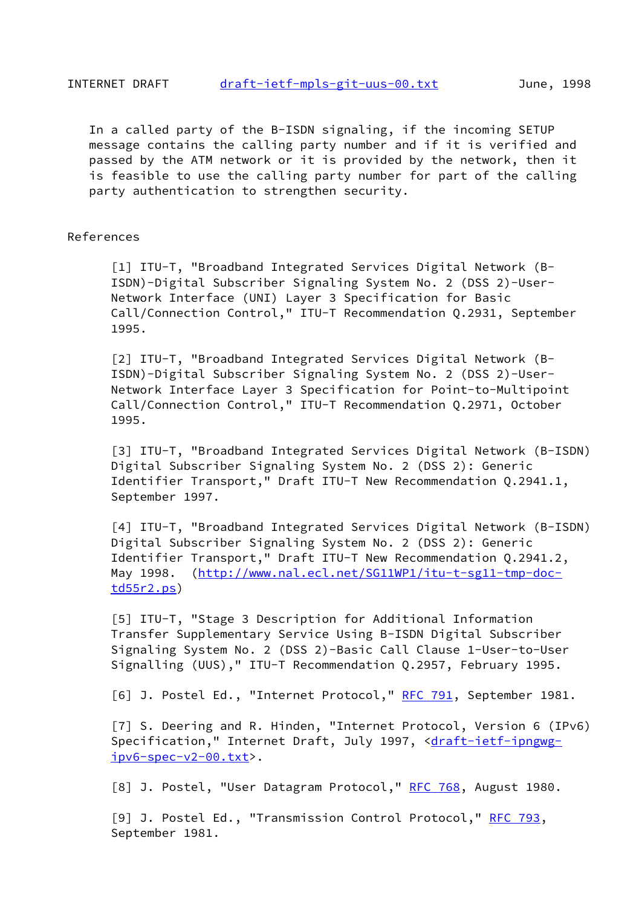In a called party of the B-ISDN signaling, if the incoming SETUP message contains the calling party number and if it is verified and passed by the ATM network or it is provided by the network, then it is feasible to use the calling party number for part of the calling party authentication to strengthen security.

#### References

 [1] ITU-T, "Broadband Integrated Services Digital Network (B- ISDN)-Digital Subscriber Signaling System No. 2 (DSS 2)-User- Network Interface (UNI) Layer 3 Specification for Basic Call/Connection Control," ITU-T Recommendation Q.2931, September 1995.

 [2] ITU-T, "Broadband Integrated Services Digital Network (B- ISDN)-Digital Subscriber Signaling System No. 2 (DSS 2)-User- Network Interface Layer 3 Specification for Point-to-Multipoint Call/Connection Control," ITU-T Recommendation Q.2971, October 1995.

 [3] ITU-T, "Broadband Integrated Services Digital Network (B-ISDN) Digital Subscriber Signaling System No. 2 (DSS 2): Generic Identifier Transport," Draft ITU-T New Recommendation Q.2941.1, September 1997.

<span id="page-25-0"></span> [4] ITU-T, "Broadband Integrated Services Digital Network (B-ISDN) Digital Subscriber Signaling System No. 2 (DSS 2): Generic Identifier Transport," Draft ITU-T New Recommendation Q.2941.2, May 1998. ([http://www.nal.ecl.net/SG11WP1/itu-t-sg11-tmp-doc](http://www.nal.ecl.net/SG11WP1/itu-t-sg11-tmp-doc-td55r2.ps) [td55r2.ps\)](http://www.nal.ecl.net/SG11WP1/itu-t-sg11-tmp-doc-td55r2.ps)

 [5] ITU-T, "Stage 3 Description for Additional Information Transfer Supplementary Service Using B-ISDN Digital Subscriber Signaling System No. 2 (DSS 2)-Basic Call Clause 1-User-to-User Signalling (UUS)," ITU-T Recommendation Q.2957, February 1995.

<span id="page-25-1"></span>[6] J. Postel Ed., "Internet Protocol," [RFC 791](https://datatracker.ietf.org/doc/pdf/rfc791), September 1981.

<span id="page-25-4"></span> [7] S. Deering and R. Hinden, "Internet Protocol, Version 6 (IPv6) Specification," Internet Draft, July 1997, <[draft-ietf-ipngwg](https://datatracker.ietf.org/doc/pdf/draft-ietf-ipngwg-ipv6-spec-v2-00.txt) [ipv6-spec-v2-00.txt](https://datatracker.ietf.org/doc/pdf/draft-ietf-ipngwg-ipv6-spec-v2-00.txt)>.

<span id="page-25-2"></span>[8] J. Postel, "User Datagram Protocol," [RFC 768,](https://datatracker.ietf.org/doc/pdf/rfc768) August 1980.

<span id="page-25-3"></span>[9] J. Postel Ed., "Transmission Control Protocol," [RFC 793](https://datatracker.ietf.org/doc/pdf/rfc793), September 1981.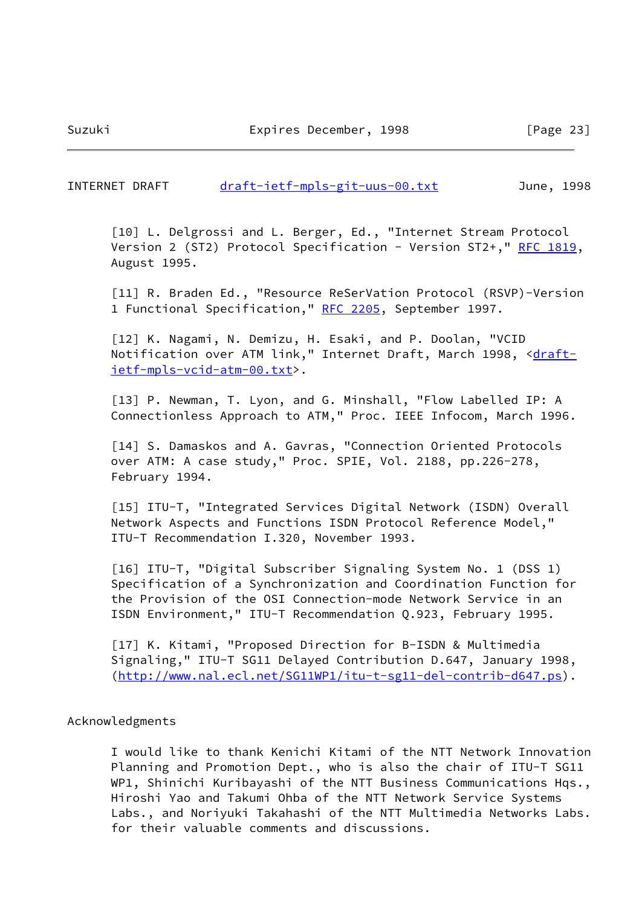INTERNET DRAFT [draft-ietf-mpls-git-uus-00.txt](https://datatracker.ietf.org/doc/pdf/draft-ietf-mpls-git-uus-00.txt) June, 1998

<span id="page-26-0"></span>[10] L. Delgrossi and L. Berger, Ed., "Internet Stream Protocol Version 2 (ST2) Protocol Specification - Version ST2+," [RFC 1819,](https://datatracker.ietf.org/doc/pdf/rfc1819) August 1995.

<span id="page-26-2"></span> [11] R. Braden Ed., "Resource ReSerVation Protocol (RSVP)-Version 1 Functional Specification," [RFC 2205](https://datatracker.ietf.org/doc/pdf/rfc2205), September 1997.

<span id="page-26-1"></span> [12] K. Nagami, N. Demizu, H. Esaki, and P. Doolan, "VCID Notification over ATM link," Internet Draft, March 1998, [<draft](https://datatracker.ietf.org/doc/pdf/draft-ietf-mpls-vcid-atm-00.txt) [ietf-mpls-vcid-atm-00.txt>](https://datatracker.ietf.org/doc/pdf/draft-ietf-mpls-vcid-atm-00.txt).

 [13] P. Newman, T. Lyon, and G. Minshall, "Flow Labelled IP: A Connectionless Approach to ATM," Proc. IEEE Infocom, March 1996.

[14] S. Damaskos and A. Gavras, "Connection Oriented Protocols over ATM: A case study," Proc. SPIE, Vol. 2188, pp.226-278, February 1994.

 [15] ITU-T, "Integrated Services Digital Network (ISDN) Overall Network Aspects and Functions ISDN Protocol Reference Model," ITU-T Recommendation I.320, November 1993.

 [16] ITU-T, "Digital Subscriber Signaling System No. 1 (DSS 1) Specification of a Synchronization and Coordination Function for the Provision of the OSI Connection-mode Network Service in an ISDN Environment," ITU-T Recommendation Q.923, February 1995.

 [17] K. Kitami, "Proposed Direction for B-ISDN & Multimedia Signaling," ITU-T SG11 Delayed Contribution D.647, January 1998, ([http://www.nal.ecl.net/SG11WP1/itu-t-sg11-del-contrib-d647.ps\)](http://www.nal.ecl.net/SG11WP1/itu-t-sg11-del-contrib-d647.ps).

### Acknowledgments

 I would like to thank Kenichi Kitami of the NTT Network Innovation Planning and Promotion Dept., who is also the chair of ITU-T SG11 WP1, Shinichi Kuribayashi of the NTT Business Communications Hqs., Hiroshi Yao and Takumi Ohba of the NTT Network Service Systems Labs., and Noriyuki Takahashi of the NTT Multimedia Networks Labs. for their valuable comments and discussions.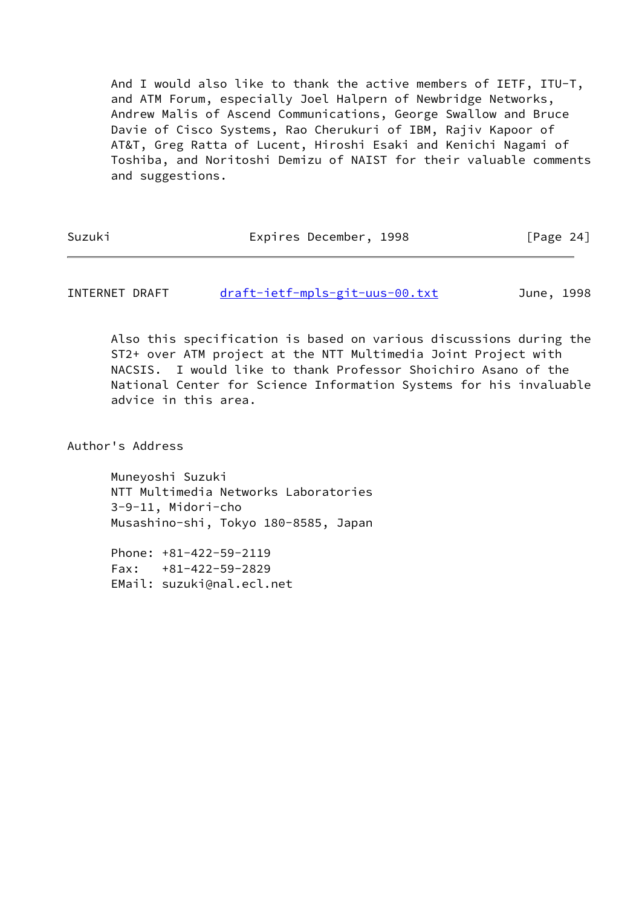And I would also like to thank the active members of IETF, ITU-T, and ATM Forum, especially Joel Halpern of Newbridge Networks, Andrew Malis of Ascend Communications, George Swallow and Bruce Davie of Cisco Systems, Rao Cherukuri of IBM, Rajiv Kapoor of AT&T, Greg Ratta of Lucent, Hiroshi Esaki and Kenichi Nagami of Toshiba, and Noritoshi Demizu of NAIST for their valuable comments and suggestions.

| Expires December, 1998 | [Page 24] |
|------------------------|-----------|
|                        |           |

INTERNET DRAFT [draft-ietf-mpls-git-uus-00.txt](https://datatracker.ietf.org/doc/pdf/draft-ietf-mpls-git-uus-00.txt) June, 1998

 Also this specification is based on various discussions during the ST2+ over ATM project at the NTT Multimedia Joint Project with NACSIS. I would like to thank Professor Shoichiro Asano of the National Center for Science Information Systems for his invaluable advice in this area.

Author's Address

 Muneyoshi Suzuki NTT Multimedia Networks Laboratories 3-9-11, Midori-cho Musashino-shi, Tokyo 180-8585, Japan

 Phone: +81-422-59-2119 Fax: +81-422-59-2829 EMail: suzuki@nal.ecl.net